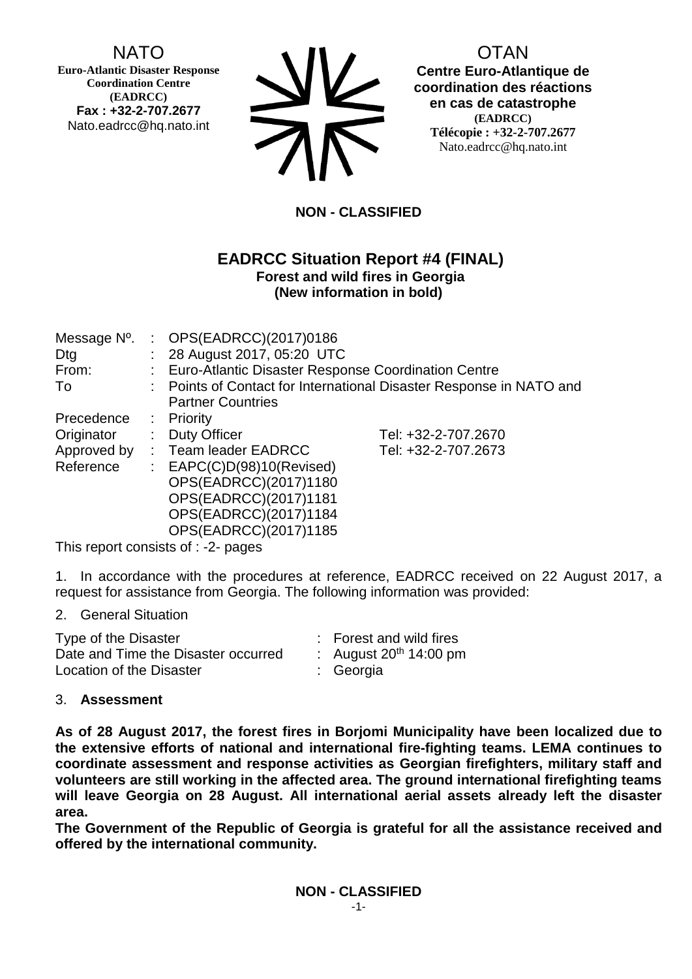NATO

**Euro-Atlantic Disaster Response Coordination Centre (EADRCC) Fax : +32-2-707.2677** Nato.eadrcc@hq.nato.int

| <b>SIV</b> |
|------------|
| <b>712</b> |

# OTAN

**Centre Euro-Atlantique de coordination des réactions en cas de catastrophe (EADRCC) Télécopie : +32-2-707.2677** Nato.eadrcc@hq.nato.int

# **NON - CLASSIFIED**

### **EADRCC Situation Report #4 (FINAL) Forest and wild fires in Georgia (New information in bold)**

| Message N°.<br>Dtg | : OPS(EADRCC)(2017)0186<br>: 28 August 2017, 05:20 UTC              |                     |  |
|--------------------|---------------------------------------------------------------------|---------------------|--|
| From:              | : Euro-Atlantic Disaster Response Coordination Centre               |                     |  |
| To                 | : Points of Contact for International Disaster Response in NATO and |                     |  |
|                    | <b>Partner Countries</b>                                            |                     |  |
| Precedence         | $:$ Priority                                                        |                     |  |
| Originator         | : Duty Officer                                                      | Tel: +32-2-707.2670 |  |
| Approved by        | : Team leader EADRCC                                                | Tel: +32-2-707.2673 |  |
| Reference          | : $EAPC(C)D(98)10(Revised)$                                         |                     |  |
|                    | OPS(EADRCC)(2017)1180                                               |                     |  |
|                    | OPS(EADRCC)(2017)1181                                               |                     |  |
|                    | OPS(EADRCC)(2017)1184                                               |                     |  |
|                    | OPS(EADRCC)(2017)1185                                               |                     |  |

This report consists of : -2- pages

1. In accordance with the procedures at reference, EADRCC received on 22 August 2017, a request for assistance from Georgia. The following information was provided:

#### 2. General Situation

| Type of the Disaster                | : Forest and wild fires  |
|-------------------------------------|--------------------------|
| Date and Time the Disaster occurred | : August $20th$ 14:00 pm |
| Location of the Disaster            | : Georgia                |

### 3. **Assessment**

**As of 28 August 2017, the forest fires in Borjomi Municipality have been localized due to the extensive efforts of national and international fire-fighting teams. LEMA continues to coordinate assessment and response activities as Georgian firefighters, military staff and volunteers are still working in the affected area. The ground international firefighting teams will leave Georgia on 28 August. All international aerial assets already left the disaster area.**

**The Government of the Republic of Georgia is grateful for all the assistance received and offered by the international community.**